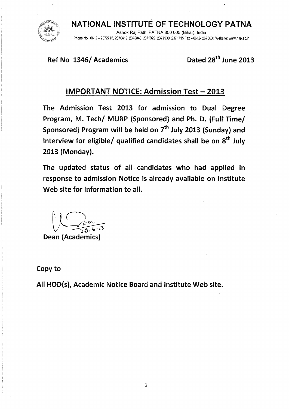NATIONAL INSTITUTE OF TECHNOLOGY PATNA Ashok Raj Path, PATNA 800 005 (Bihar), India Phone No.: 0612 — 2372715, 2370419, 2370843, 2371929, 2371930, 2371715 Fax — 0612- 2670631 Website: www.nitp.ac.in

Ref No 1346/ Academics Dated 28<sup>th</sup> June 2013

### IMPORTANT NOTICE: Admission Test — 2013

The Admission Test 2013 for admission to Dual Degree Program, M. Tech/ MURP (Sponsored) and Ph. D. (Full Time/ Sponsored) Program will be held on  $7<sup>th</sup>$  July 2013 (Sunday) and Interview for eligible/ qualified candidates shall be on  $8<sup>th</sup>$  July 2013 (Monday).

The updated status of all candidates who had applied in response to admission Notice is already available on Institute Web site for information to all.

Dean (Academics)

Copy to

All HOD(s), Academic Notice Board and Institute Web site.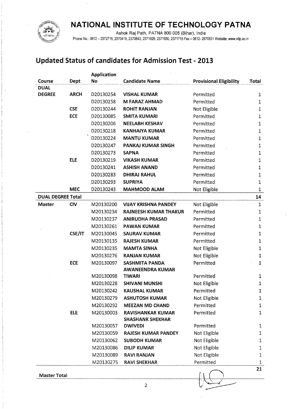

Ashok Raj Path, PATNA 800 005 (Bihar), India

Phone No.: 0612-2372715, 2370419, 2370843, 2371929, 2371930, 2371715 Fax-0612-2670631 Website: www.nitp,ac.in

### **Updated Status of candidates for Admission Test - 2013**

|                          |             | <b>Application</b> |                                                  |                                |              |
|--------------------------|-------------|--------------------|--------------------------------------------------|--------------------------------|--------------|
| Course                   | Dept        | Νo                 | <b>Candidate Name</b>                            | <b>Provisional Eligibility</b> | Total        |
| <b>DUAL</b>              |             |                    |                                                  |                                |              |
| <b>DEGREE</b>            | <b>ARCH</b> | D20130254          | <b>VISHAL KUMAR</b>                              | Permitted                      | 1            |
|                          |             | D20130258          | <b>M FARAZ AHMAD</b>                             | Permitted                      | $\mathbf{1}$ |
|                          | <b>CSE</b>  | D20130244          | <b>ROHIT RANJAN</b>                              | Not Eligible                   | $\mathbf{1}$ |
|                          | <b>ECE</b>  | D20130085          | <b>SMITA KUMARI</b>                              | Permitted                      | $\mathbf{1}$ |
|                          |             | D20130206          | <b>NEELABH KESHAV</b>                            | Permitted                      | $\mathbf{1}$ |
|                          |             | D20130218          | <b>KANHAIYA KUMAR</b>                            | Permitted                      | $\mathbf{1}$ |
|                          |             | D20130224          | <b>MANTU KUMAR</b>                               | Permitted                      | 1            |
|                          |             | D20130247          | PANKAJ KUMAR SINGH                               | Permitted                      | $\mathbf 1$  |
|                          |             | D20130273          | <b>SAPNA</b>                                     | Permitted                      | $\mathbf 1$  |
|                          | <b>ELE</b>  | D20130219          | <b>VIKASH KUMAR</b>                              | Permitted                      | $\mathbf 1$  |
|                          |             | D20130241          | <b>ASHISH ANAND</b>                              | Permitted                      | $\mathbf 1$  |
|                          |             | D20130283          | <b>DHIRAJ RAHUL</b>                              | Permitted                      | $\mathbf 1$  |
|                          |             | D20130293          | <b>SUPRIYA</b>                                   | Permitted                      | $\mathbf 1$  |
|                          | <b>MEC</b>  | D20130243          | <b>MAHMOOD ALAM</b>                              | Not Eligible                   | 1            |
| <b>DUAL DEGREE Total</b> |             |                    |                                                  |                                | 14           |
| <b>Master</b>            | <b>CIV</b>  | M20130200          | <b>VIJAY KRISHNA PANDEY</b>                      | Not Eligible                   | $\mathbf{1}$ |
|                          |             | M20130234          | <b>RAJNEESH KUMAR THAKUR</b>                     | Permitted                      | 1            |
|                          |             | M20130237          | <b>ANIRUDHA PRASAD</b>                           | Permitted                      | $\mathbf 1$  |
|                          |             | M20130261          | <b>PAWAN KUMAR</b>                               | Permitted                      | $1\,$        |
|                          | CSE/IT      | M20130045          | <b>SAURAV KUMAR</b>                              | Permitted                      | $\mathbf 1$  |
|                          |             | M20130135          | <b>RAJESH KUMAR</b>                              | Permitted                      | $\mathbf 1$  |
|                          |             | M20130235          | <b>MAMTA SINHA</b>                               | Not Eligible                   | $\mathbf{1}$ |
|                          |             | M20130276          | <b>RANJAN KUMAR</b>                              | Not Eligible                   | $\mathbf{1}$ |
|                          | <b>ECE</b>  | M20130097          | <b>SASHMITA PANDA</b><br><b>AWANEENDRA KUMAR</b> | Permitted                      | $\mathbf{1}$ |
|                          |             | M20130098          | <b>TIWARI</b>                                    | Permitted                      | 1            |
|                          |             | M20130228          | <b>SHIVANI MUNSHI</b>                            | Not Eligible                   | $\mathbf{1}$ |
|                          |             | M20130242          | <b>KAUSHAL KUMAR</b>                             | Permitted                      | 1            |
|                          |             | M20130279          | <b>ASHUTOSH KUMAR</b>                            | Not Eligible                   | 1            |
|                          |             | M20130292          | <b>MEEZAN MD CHAND</b>                           | Permitted                      | $\mathbf{1}$ |
|                          | <b>ELE</b>  | M20130003          | <b>RAVISHANKAR KUMAR</b>                         | Permitted                      | 1            |
|                          |             |                    | <b>SHASHANK SHEKHAR</b>                          |                                |              |
|                          |             | M20130057          | <b>DWIVEDI</b>                                   | Permitted                      | 1            |
|                          |             | M20130059          | <b>RAJESH KUMAR PANDEY</b>                       | Not Eligible                   | 1            |
|                          |             | M20130062          | <b>SUBODH KUMAR</b>                              | Not Eligible                   | $\mathbf{1}$ |
|                          |             | M20130086          | <b>DILIP KUMAR</b>                               | Not Eligible                   | 1            |
|                          |             | M20130089          | <b>RAVI RANJAN</b>                               | Not Eligible                   | $\mathbf 1$  |
|                          |             | M20130275          | <b>RAVI SHEKHAR</b>                              | Permitted                      | 1            |
|                          |             |                    |                                                  |                                | 21           |

**Master Total**

2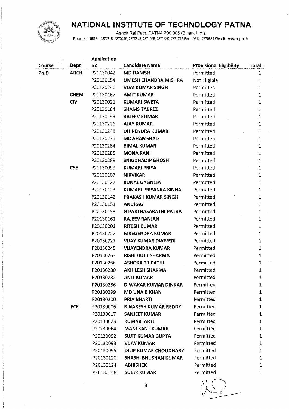

Ashok Raj Path, PATNA 800 005 (Bihar), India

Phone No.: 0612 — 2372715, 2370419, 2370843, 2371929, 2371930, 2371715 Fax — 0612- 2670631 Website: www.nitp.ac.in

|        |             | <b>Application</b> |                              |                                |              |
|--------|-------------|--------------------|------------------------------|--------------------------------|--------------|
| Course | Dept        | No                 | <b>Candidate Name</b>        | <b>Provisional Eligibility</b> | Total        |
| Ph.D   | <b>ARCH</b> | P20130042          | <b>MD DANISH</b>             | Permitted                      | 1            |
|        |             | P20130154          | UMESH CHANDRA MISHRA         | Not Eligible                   | $\mathbf 1$  |
|        |             | P20130240          | <b>VIJAI KUMAR SINGH</b>     | Permitted                      | 1            |
|        | <b>CHEM</b> | P20130167          | <b>AMIT KUMAR</b>            | Permitted                      | $\,1$        |
|        | <b>CIV</b>  | P20130021          | <b>KUMARI SWETA</b>          | Permitted                      | $\mathbf{1}$ |
|        |             | P20130164          | <b>SHAMS TABREZ</b>          | Permitted                      | 1            |
|        |             | P20130199          | <b>RAJEEV KUMAR</b>          | Permitted                      | $\mathbf{1}$ |
|        |             | P20130226          | <b>AJAY KUMAR</b>            | Permitted                      | $\mathbf 1$  |
|        |             | P20130248          | <b>DHIRENDRA KUMAR</b>       | Permitted                      | 1            |
|        |             | P20130271          | <b>MD.SHAMSHAD</b>           | Permitted                      | $\mathbf{1}$ |
|        |             | P20130284          | <b>BIMAL KUMAR</b>           | Permitted                      | $\mathbf 1$  |
|        |             | P20130285          | <b>MONA RANI</b>             | Permitted                      | $\mathbf 1$  |
|        |             | P20130288          | <b>SNIGDHADIP GHOSH</b>      | Permitted                      | 1            |
|        | <b>CSE</b>  | P20130099          | <b>KUMARI PRIYA</b>          | Permitted                      | $\mathbf 1$  |
|        |             | P20130107          | <b>NIRVIKAR</b>              | Permitted                      | 1            |
|        |             | P20130122          | <b>KUNAL GAGNEJA</b>         | Permitted                      | 1            |
|        |             | P20130123          | KUMARI PRIYANKA SINHA        | Permitted                      | 1            |
|        |             | P20130142          | PRAKASH KUMAR SINGH          | Permitted                      | 1            |
|        |             | P20130151          | <b>ANURAG</b>                | Permitted                      | $\mathbf{1}$ |
|        |             | P20130153          | <b>H PARTHASARATHI PATRA</b> | Permitted                      | $\mathbf{1}$ |
|        |             | P20130161          | <b>RAJEEV RANJAN</b>         | Permitted                      | $\mathbf 1$  |
|        |             | P20130201          | <b>RITESH KUMAR</b>          | Permitted                      | $\mathbf 1$  |
|        |             | P20130222          | <b>MREGENDRA KUMAR</b>       | Permitted                      | $\mathbf{1}$ |
|        |             | P20130227          | <b>VIJAY KUMAR DWIVEDI</b>   | Permitted                      | $\mathbf 1$  |
|        |             | P20130245          | <b>VIJAYENDRA KUMAR</b>      | Permitted                      | $\mathbf{1}$ |
|        |             | P20130263          | <b>RISHI DUTT SHARMA</b>     | Permitted                      | $\mathbf{1}$ |
|        |             | P20130266          | <b>ASHOKA TRIPATHI</b>       | Permitted                      | $\mathbf 1$  |
|        |             | P20130280          | <b>AKHILESH SHARMA</b>       | Permitted                      | $\mathbf{1}$ |
|        |             | P20130282          | <b>ANIT KUMAR</b>            | Permitted                      | 1            |
|        |             | P20130286          | <b>DIWAKAR KUMAR DINKAR</b>  | Permitted                      | 1            |
|        |             | P20130299          | <b>MD UNAIB KHAN</b>         | Permitted                      | 1            |
|        |             | P20130300          | <b>PRIA BHARTI</b>           | Permitted                      | $\mathbf{1}$ |
|        | <b>ECE</b>  | P20130006          | <b>B.NARESH KUMAR REDDY</b>  | Permitted                      | $\mathbf 1$  |
|        |             | P20130017          | <b>SANJEET KUMAR</b>         | Permitted                      | $\mathbf{1}$ |
|        |             | P20130023          | KUMARI ARTI                  | Permitted                      | $\mathbf 1$  |
|        |             | P20130064          | <b>MANI KANT KUMAR</b>       | Permitted                      | $\mathbf{1}$ |
|        |             | P20130092          | <b>SUJIT KUMAR GUPTA</b>     | Permitted                      | $\mathbf{1}$ |
|        |             | P20130093          | <b>VIJAY KUMAR</b>           | Permitted                      | $\mathbf{1}$ |
|        |             | P20130095          | DILIP KUMAR CHOUDHARY        | Permitted                      | $\mathbf{1}$ |
|        |             | P20130120          | <b>SHASHI BHUSHAN KUMAR</b>  | Permitted                      | 1            |
|        |             | P20130124          | <b>ABHISHEK</b>              | Permitted                      | 1            |
|        |             | P20130148          | <b>SUBIR KUMAR</b>           | Permitted                      | 1            |
|        |             |                    |                              |                                |              |

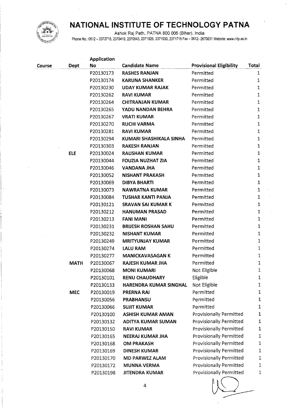

Ashok Raj Path, PATNA 800 005 (Bihar), India

Phone No.: 0612 - 2372715, 2370419, 2370843, 2371929, 2371930, 2371715 Fax - 0612- 2670631 Website: www.nitp.ac.in

|        |             | <b>Application</b> |                            |                                |                |
|--------|-------------|--------------------|----------------------------|--------------------------------|----------------|
| Course | Dept        | No                 | <b>Candidate Name</b>      | <b>Provisional Eligibility</b> | Total          |
|        |             | P20130173          | <b>RASHES RANJAN</b>       | Permitted                      | 1              |
|        |             | P20130174          | <b>KARUNA SHANKER</b>      | Permitted                      | $\mathbf{1}$   |
|        |             | P20130230          | <b>UDAY KUMAR RAJAK</b>    | Permitted                      | 1              |
|        |             | P20130262          | <b>RAVI KUMAR</b>          | Permitted                      | $\mathbf{1}$   |
|        |             | P20130264          | <b>CHITRANJAN KUMAR</b>    | Permitted                      | 1              |
|        |             | P20130265          | YADU NANDAN BEHRA          | Permitted                      | $\mathbf{1}$   |
|        |             | P20130267          | <b>VRATI KUMAR</b>         | Permitted                      | 1              |
|        |             | P20130270          | <b>RUCHI VARMA</b>         | Permitted                      | $\mathbf{1}$   |
|        |             | P20130281          | <b>RAVI KUMAR</b>          | Permitted                      | $\mathbf{1}$   |
|        |             | P20130294          | KUMARI SHASHIKALA SINHA    | Permitted                      | $\mathbf{1}$   |
|        |             | P20130303          | <b>RAKESH RANJAN</b>       | Permitted                      | 1              |
|        | <b>ELE</b>  | P20130024          | <b>RAUSHAN KUMAR</b>       | Permitted                      | 1 <sup>5</sup> |
|        |             | P20130044          | <b>FOUZIA NUZHAT ZIA</b>   | Permitted                      | 1              |
|        |             | P20130046          | <b>VANDANA JHA</b>         | Permitted                      | $\mathbf 1$    |
|        |             | P20130052          | <b>NISHANT PRAKASH</b>     | Permitted                      | 1              |
|        |             | P20130069          | <b>DIBYA BHARTI</b>        | Permitted                      | $\mathbf 1$    |
|        |             | P20130073          | <b>NAWRATNA KUMAR</b>      | Permitted                      | $\mathbf{1}$   |
|        |             | P20130084          | TUSHAR KANTI PANJA         | Permitted                      | $\mathbf 1$    |
|        |             | P20130121          | <b>SRAVAN SAI KUMAR K</b>  | Permitted                      | $\mathbf 1$    |
|        |             | P20130212          | <b>HANUMAN PRASAD</b>      | Permitted                      | $\mathbf 1$    |
|        |             | P20130213          | <b>FANI MANI</b>           | Permitted                      | 1              |
|        |             | P20130231          | <b>BRIJESH ROSHAN SAHU</b> | Permitted                      | 1              |
|        |             | P20130232          | <b>NISHANT KUMAR</b>       | Permitted                      | $\mathbf{1}$   |
|        |             | P20130249          | <b>MRITYUNJAY KUMAR</b>    | Permitted                      | 1              |
|        |             | P20130274          | <b>LALU RAM</b>            | Permitted                      | 1              |
|        |             | P20130277          | <b>MANICKAVASAGAN K</b>    | Permitted                      | $\mathbf 1$    |
|        | <b>MATH</b> | P20130067          | <b>RAJESH KUMAR JHA</b>    | Permitted                      | $\mathbf{1}$   |
|        |             | P20130068          | <b>MONI KUMARI</b>         | Not Eligible                   | 1              |
|        |             | P20130101          | <b>RENU CHAUDHARY</b>      | Eligible                       | $\mathbf 1$    |
|        |             | P20130133          | HARENDRA KUMAR SINGHAL     | Not Eligible                   | 1              |
|        | <b>MEC</b>  | P20130019          | <b>PRERNA RAI</b>          | Permitted                      | $\mathbf 1$    |
|        |             | P20130056          | PRABHANSU                  | Permitted                      | $\mathbf{1}$   |
|        |             | P20130066          | <b>SUJIT KUMAR</b>         | Permitted                      | 1              |
|        |             | P20130100          | <b>ASHISH KUMAR AMAN</b>   | <b>Provisionally Permitted</b> | $\mathbf{1}$   |
|        |             | P20130132          | <b>ADITYA KUMAR SUMAN</b>  | <b>Provisionally Permitted</b> | $\mathbf 1$    |
|        |             | P20130150          | <b>RAVI KUMAR</b>          | <b>Provisionally Permitted</b> | 1              |
|        |             | P20130165          | <b>NEERAJ KUMAR JHA</b>    | Provisionally Permitted        | 1              |
|        |             | P20130168          | <b>OM PRAKASH</b>          | Provisionally Permitted        | $\mathbf 1$    |
|        |             | P20130169          | <b>DINESH KUMAR</b>        | Provisionally Permitted        | $\mathbf 1$    |
|        |             | P20130170          | <b>MD PARWEZ ALAM</b>      | <b>Provisionally Permitted</b> | 1              |
|        |             | P20130172          | <b>MUNNA VERMA</b>         | Provisionally Permitted        | 1              |
|        |             | P20130198          | <b>JITENDRA KUMAR</b>      | Provisionally Permitted        | 1              |